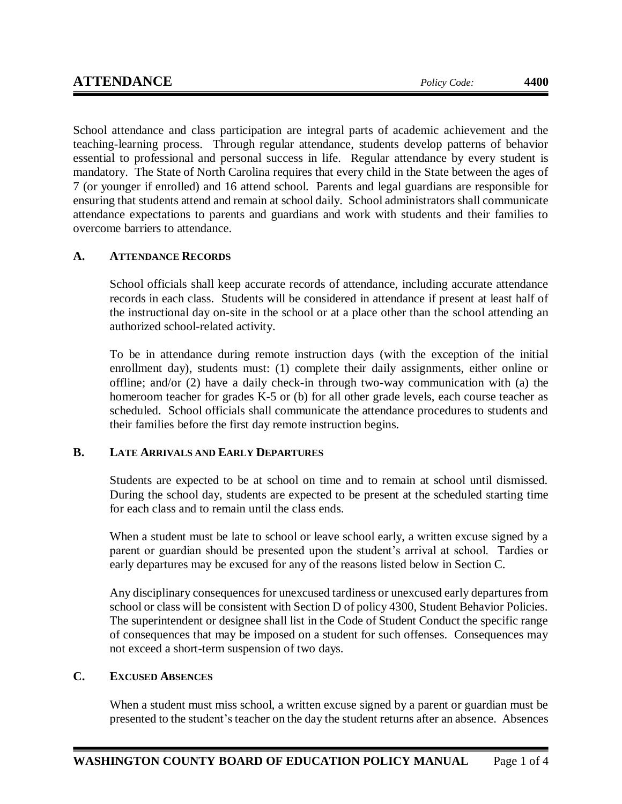School attendance and class participation are integral parts of academic achievement and the teaching-learning process. Through regular attendance, students develop patterns of behavior essential to professional and personal success in life. Regular attendance by every student is mandatory. The State of North Carolina requires that every child in the State between the ages of 7 (or younger if enrolled) and 16 attend school. Parents and legal guardians are responsible for ensuring that students attend and remain at school daily. School administrators shall communicate attendance expectations to parents and guardians and work with students and their families to overcome barriers to attendance.

# **A. ATTENDANCE RECORDS**

School officials shall keep accurate records of attendance, including accurate attendance records in each class. Students will be considered in attendance if present at least half of the instructional day on-site in the school or at a place other than the school attending an authorized school-related activity.

To be in attendance during remote instruction days (with the exception of the initial enrollment day), students must: (1) complete their daily assignments, either online or offline; and/or (2) have a daily check-in through two-way communication with (a) the homeroom teacher for grades K-5 or (b) for all other grade levels, each course teacher as scheduled. School officials shall communicate the attendance procedures to students and their families before the first day remote instruction begins.

## **B. LATE ARRIVALS AND EARLY DEPARTURES**

Students are expected to be at school on time and to remain at school until dismissed. During the school day, students are expected to be present at the scheduled starting time for each class and to remain until the class ends.

When a student must be late to school or leave school early, a written excuse signed by a parent or guardian should be presented upon the student's arrival at school. Tardies or early departures may be excused for any of the reasons listed below in Section C.

Any disciplinary consequences for unexcused tardiness or unexcused early departures from school or class will be consistent with Section D of policy 4300, Student Behavior Policies. The superintendent or designee shall list in the Code of Student Conduct the specific range of consequences that may be imposed on a student for such offenses. Consequences may not exceed a short-term suspension of two days.

# **C. EXCUSED ABSENCES**

When a student must miss school, a written excuse signed by a parent or guardian must be presented to the student's teacher on the day the student returns after an absence. Absences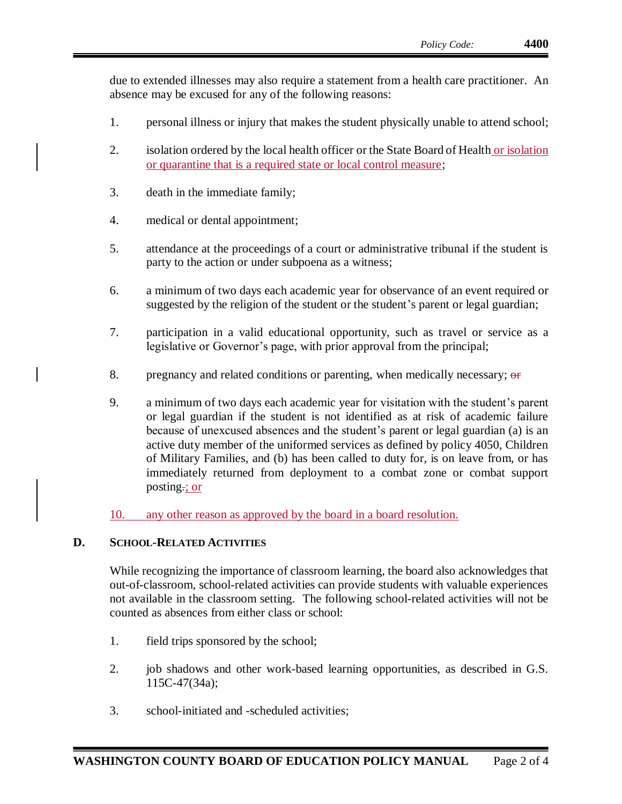due to extended illnesses may also require a statement from a health care practitioner. An absence may be excused for any of the following reasons:

- 1. personal illness or injury that makes the student physically unable to attend school;
- 2. isolation ordered by the local health officer or the State Board of Health or isolation or quarantine that is a required state or local control measure;
- 3. death in the immediate family;
- 4. medical or dental appointment;
- 5. attendance at the proceedings of a court or administrative tribunal if the student is party to the action or under subpoena as a witness;
- 6. a minimum of two days each academic year for observance of an event required or suggested by the religion of the student or the student's parent or legal guardian;
- 7. participation in a valid educational opportunity, such as travel or service as a legislative or Governor's page, with prior approval from the principal;
- 8. pregnancy and related conditions or parenting, when medically necessary; or
- 9. a minimum of two days each academic year for visitation with the student's parent or legal guardian if the student is not identified as at risk of academic failure because of unexcused absences and the student's parent or legal guardian (a) is an active duty member of the uniformed services as defined by policy 4050, Children of Military Families, and (b) has been called to duty for, is on leave from, or has immediately returned from deployment to a combat zone or combat support posting.; or
- 10. any other reason as approved by the board in a board resolution.

## **D. SCHOOL-RELATED ACTIVITIES**

While recognizing the importance of classroom learning, the board also acknowledges that out-of-classroom, school-related activities can provide students with valuable experiences not available in the classroom setting. The following school-related activities will not be counted as absences from either class or school:

- 1. field trips sponsored by the school;
- 2. job shadows and other work-based learning opportunities, as described in G.S. 115C-47(34a);
- 3. school-initiated and -scheduled activities;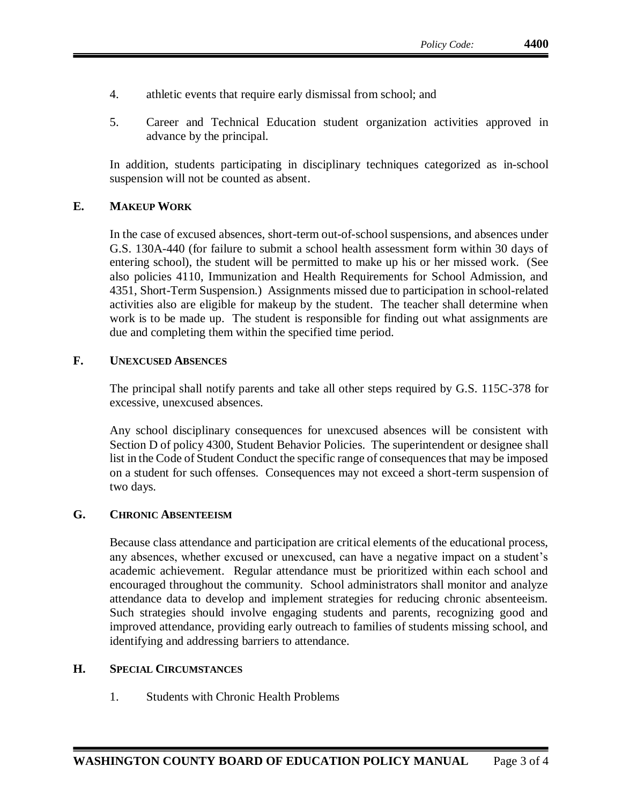- 4. athletic events that require early dismissal from school; and
- 5. Career and Technical Education student organization activities approved in advance by the principal.

In addition, students participating in disciplinary techniques categorized as in-school suspension will not be counted as absent.

#### **E. MAKEUP WORK**

In the case of excused absences, short-term out-of-school suspensions, and absences under G.S. 130A-440 (for failure to submit a school health assessment form within 30 days of entering school), the student will be permitted to make up his or her missed work. (See also policies 4110, Immunization and Health Requirements for School Admission, and 4351, Short-Term Suspension.) Assignments missed due to participation in school-related activities also are eligible for makeup by the student. The teacher shall determine when work is to be made up. The student is responsible for finding out what assignments are due and completing them within the specified time period.

#### **F. UNEXCUSED ABSENCES**

The principal shall notify parents and take all other steps required by G.S. 115C-378 for excessive, unexcused absences.

Any school disciplinary consequences for unexcused absences will be consistent with Section D of policy 4300, Student Behavior Policies. The superintendent or designee shall list in the Code of Student Conduct the specific range of consequences that may be imposed on a student for such offenses. Consequences may not exceed a short-term suspension of two days.

### **G. CHRONIC ABSENTEEISM**

Because class attendance and participation are critical elements of the educational process, any absences, whether excused or unexcused, can have a negative impact on a student's academic achievement. Regular attendance must be prioritized within each school and encouraged throughout the community. School administrators shall monitor and analyze attendance data to develop and implement strategies for reducing chronic absenteeism. Such strategies should involve engaging students and parents, recognizing good and improved attendance, providing early outreach to families of students missing school, and identifying and addressing barriers to attendance.

#### **H. SPECIAL CIRCUMSTANCES**

1. Students with Chronic Health Problems